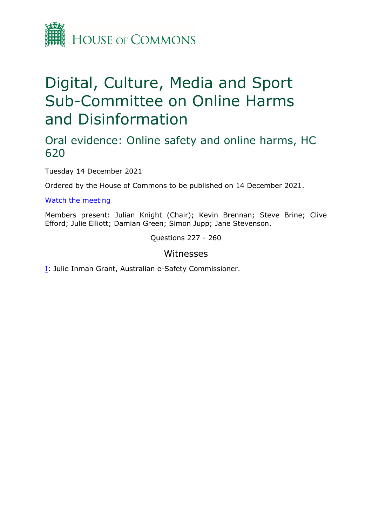

# Digital, Culture, Media and Sport Sub-Committee on Online Harms and Disinformation

## Oral evidence: Online safety and online harms, HC 620

Tuesday 14 December 2021

Ordered by the House of Commons to be published on 14 December 2021.

[Watch](https://parliamentlive.tv/event/index/c2ac675f-152e-461d-8c74-9f451c4c64db) [the](https://parliamentlive.tv/event/index/c2ac675f-152e-461d-8c74-9f451c4c64db) [meeting](https://parliamentlive.tv/event/index/c2ac675f-152e-461d-8c74-9f451c4c64db)

Members present: Julian Knight (Chair); Kevin Brennan; Steve Brine; Clive Efford; Julie Elliott; Damian Green; Simon Jupp; Jane Stevenson.

Questions 227 - 260

#### Witnesses

[I:](#page-1-0) Julie Inman Grant, Australian e-Safety Commissioner.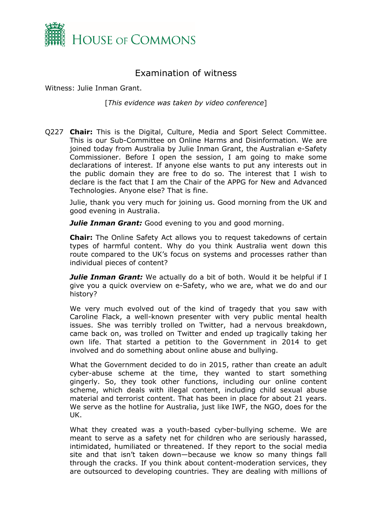

### <span id="page-1-0"></span>Examination of witness

Witness: Julie Inman Grant.

[*This evidence was taken by video conference*]

Q227 **Chair:** This is the Digital, Culture, Media and Sport Select Committee. This is our Sub-Committee on Online Harms and Disinformation. We are joined today from Australia by Julie Inman Grant, the Australian e-Safety Commissioner. Before I open the session, I am going to make some declarations of interest. If anyone else wants to put any interests out in the public domain they are free to do so. The interest that I wish to declare is the fact that I am the Chair of the APPG for New and Advanced Technologies. Anyone else? That is fine.

Julie, thank you very much for joining us. Good morning from the UK and good evening in Australia.

*Julie Inman Grant:* Good evening to you and good morning.

**Chair:** The Online Safety Act allows you to request takedowns of certain types of harmful content. Why do you think Australia went down this route compared to the UK's focus on systems and processes rather than individual pieces of content?

*Julie Inman Grant:* We actually do a bit of both. Would it be helpful if I give you a quick overview on e-Safety, who we are, what we do and our history?

We very much evolved out of the kind of tragedy that you saw with Caroline Flack, a well-known presenter with very public mental health issues. She was terribly trolled on Twitter, had a nervous breakdown, came back on, was trolled on Twitter and ended up tragically taking her own life. That started a petition to the Government in 2014 to get involved and do something about online abuse and bullying.

What the Government decided to do in 2015, rather than create an adult cyber-abuse scheme at the time, they wanted to start something gingerly. So, they took other functions, including our online content scheme, which deals with illegal content, including child sexual abuse material and terrorist content. That has been in place for about 21 years. We serve as the hotline for Australia, just like IWF, the NGO, does for the UK.

What they created was a youth-based cyber-bullying scheme. We are meant to serve as a safety net for children who are seriously harassed, intimidated, humiliated or threatened. If they report to the social media site and that isn't taken down—because we know so many things fall through the cracks. If you think about content-moderation services, they are outsourced to developing countries. They are dealing with millions of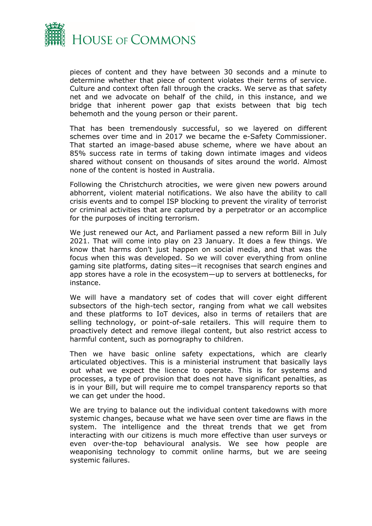

pieces of content and they have between 30 seconds and a minute to determine whether that piece of content violates their terms of service. Culture and context often fall through the cracks. We serve as that safety net and we advocate on behalf of the child, in this instance, and we bridge that inherent power gap that exists between that big tech behemoth and the young person or their parent.

That has been tremendously successful, so we layered on different schemes over time and in 2017 we became the e-Safety Commissioner. That started an image-based abuse scheme, where we have about an 85% success rate in terms of taking down intimate images and videos shared without consent on thousands of sites around the world. Almost none of the content is hosted in Australia.

Following the Christchurch atrocities, we were given new powers around abhorrent, violent material notifications. We also have the ability to call crisis events and to compel ISP blocking to prevent the virality of terrorist or criminal activities that are captured by a perpetrator or an accomplice for the purposes of inciting terrorism.

We just renewed our Act, and Parliament passed a new reform Bill in July 2021. That will come into play on 23 January. It does a few things. We know that harms don't just happen on social media, and that was the focus when this was developed. So we will cover everything from online gaming site platforms, dating sites—it recognises that search engines and app stores have a role in the ecosystem—up to servers at bottlenecks, for instance.

We will have a mandatory set of codes that will cover eight different subsectors of the high-tech sector, ranging from what we call websites and these platforms to IoT devices, also in terms of retailers that are selling technology, or point-of-sale retailers. This will require them to proactively detect and remove illegal content, but also restrict access to harmful content, such as pornography to children.

Then we have basic online safety expectations, which are clearly articulated objectives. This is a ministerial instrument that basically lays out what we expect the licence to operate. This is for systems and processes, a type of provision that does not have significant penalties, as is in your Bill, but will require me to compel transparency reports so that we can get under the hood.

We are trying to balance out the individual content takedowns with more systemic changes, because what we have seen over time are flaws in the system. The intelligence and the threat trends that we get from interacting with our citizens is much more effective than user surveys or even over-the-top behavioural analysis. We see how people are weaponising technology to commit online harms, but we are seeing systemic failures.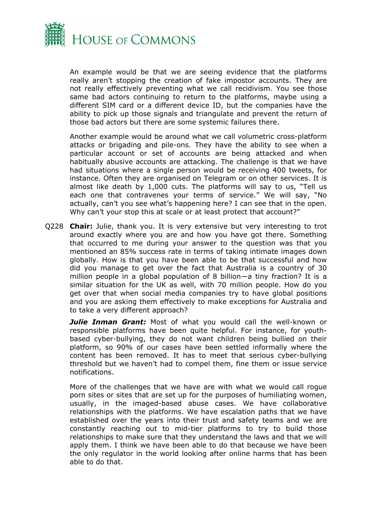

An example would be that we are seeing evidence that the platforms really aren't stopping the creation of fake impostor accounts. They are not really effectively preventing what we call recidivism. You see those same bad actors continuing to return to the platforms, maybe using a different SIM card or a different device ID, but the companies have the ability to pick up those signals and triangulate and prevent the return of those bad actors but there are some systemic failures there.

Another example would be around what we call volumetric cross-platform attacks or brigading and pile-ons. They have the ability to see when a particular account or set of accounts are being attacked and when habitually abusive accounts are attacking. The challenge is that we have had situations where a single person would be receiving 400 tweets, for instance. Often they are organised on Telegram or on other services. It is almost like death by 1,000 cuts. The platforms will say to us, "Tell us each one that contravenes your terms of service." We will say, "No actually, can't you see what's happening here? I can see that in the open. Why can't your stop this at scale or at least protect that account?"

Q228 **Chair:** Julie, thank you. It is very extensive but very interesting to trot around exactly where you are and how you have got there. Something that occurred to me during your answer to the question was that you mentioned an 85% success rate in terms of taking intimate images down globally. How is that you have been able to be that successful and how did you manage to get over the fact that Australia is a country of 30 million people in a global population of 8 billion—a tiny fraction? It is a similar situation for the UK as well, with 70 million people. How do you get over that when social media companies try to have global positions and you are asking them effectively to make exceptions for Australia and to take a very different approach?

*Julie Inman Grant:* Most of what you would call the well-known or responsible platforms have been quite helpful. For instance, for youthbased cyber-bullying, they do not want children being bullied on their platform, so 90% of our cases have been settled informally where the content has been removed. It has to meet that serious cyber-bullying threshold but we haven't had to compel them, fine them or issue service notifications.

More of the challenges that we have are with what we would call rogue porn sites or sites that are set up for the purposes of humiliating women, usually, in the imaged-based abuse cases. We have collaborative relationships with the platforms. We have escalation paths that we have established over the years into their trust and safety teams and we are constantly reaching out to mid-tier platforms to try to build those relationships to make sure that they understand the laws and that we will apply them. I think we have been able to do that because we have been the only regulator in the world looking after online harms that has been able to do that.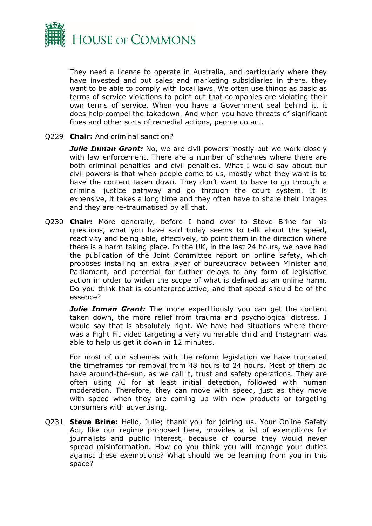

They need a licence to operate in Australia, and particularly where they have invested and put sales and marketing subsidiaries in there, they want to be able to comply with local laws. We often use things as basic as terms of service violations to point out that companies are violating their own terms of service. When you have a Government seal behind it, it does help compel the takedown. And when you have threats of significant fines and other sorts of remedial actions, people do act.

#### Q229 **Chair:** And criminal sanction?

*Julie Inman Grant:* No, we are civil powers mostly but we work closely with law enforcement. There are a number of schemes where there are both criminal penalties and civil penalties. What I would say about our civil powers is that when people come to us, mostly what they want is to have the content taken down. They don't want to have to go through a criminal justice pathway and go through the court system. It is expensive, it takes a long time and they often have to share their images and they are re-traumatised by all that.

Q230 **Chair:** More generally, before I hand over to Steve Brine for his questions, what you have said today seems to talk about the speed, reactivity and being able, effectively, to point them in the direction where there is a harm taking place. In the UK, in the last 24 hours, we have had the publication of the Joint Committee report on online safety, which proposes installing an extra layer of bureaucracy between Minister and Parliament, and potential for further delays to any form of legislative action in order to widen the scope of what is defined as an online harm. Do you think that is counterproductive, and that speed should be of the essence?

**Julie Inman Grant:** The more expeditiously you can get the content taken down, the more relief from trauma and psychological distress. I would say that is absolutely right. We have had situations where there was a Fight Fit video targeting a very vulnerable child and Instagram was able to help us get it down in 12 minutes.

For most of our schemes with the reform legislation we have truncated the timeframes for removal from 48 hours to 24 hours. Most of them do have around-the-sun, as we call it, trust and safety operations. They are often using AI for at least initial detection, followed with human moderation. Therefore, they can move with speed, just as they move with speed when they are coming up with new products or targeting consumers with advertising.

Q231 **Steve Brine:** Hello, Julie; thank you for joining us. Your Online Safety Act, like our regime proposed here, provides a list of exemptions for journalists and public interest, because of course they would never spread misinformation. How do you think you will manage your duties against these exemptions? What should we be learning from you in this space?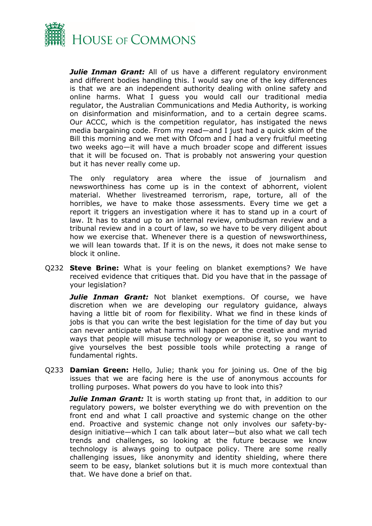

*Julie Inman Grant:* All of us have a different regulatory environment and different bodies handling this. I would say one of the key differences is that we are an independent authority dealing with online safety and online harms. What I guess you would call our traditional media regulator, the Australian Communications and Media Authority, is working on disinformation and misinformation, and to a certain degree scams. Our ACCC, which is the competition regulator, has instigated the news media bargaining code. From my read—and I just had a quick skim of the Bill this morning and we met with Ofcom and I had a very fruitful meeting two weeks ago—it will have a much broader scope and different issues that it will be focused on. That is probably not answering your question but it has never really come up.

The only regulatory area where the issue of journalism and newsworthiness has come up is in the context of abhorrent, violent material. Whether livestreamed terrorism, rape, torture, all of the horribles, we have to make those assessments. Every time we get a report it triggers an investigation where it has to stand up in a court of law. It has to stand up to an internal review, ombudsman review and a tribunal review and in a court of law, so we have to be very diligent about how we exercise that. Whenever there is a question of newsworthiness, we will lean towards that. If it is on the news, it does not make sense to block it online.

Q232 **Steve Brine:** What is your feeling on blanket exemptions? We have received evidence that critiques that. Did you have that in the passage of your legislation?

*Julie Inman Grant:* Not blanket exemptions. Of course, we have discretion when we are developing our regulatory guidance, always having a little bit of room for flexibility. What we find in these kinds of jobs is that you can write the best legislation for the time of day but you can never anticipate what harms will happen or the creative and myriad ways that people will misuse technology or weaponise it, so you want to give yourselves the best possible tools while protecting a range of fundamental rights.

Q233 **Damian Green:** Hello, Julie; thank you for joining us. One of the big issues that we are facing here is the use of anonymous accounts for trolling purposes. What powers do you have to look into this?

*Julie Inman Grant:* It is worth stating up front that, in addition to our regulatory powers, we bolster everything we do with prevention on the front end and what I call proactive and systemic change on the other end. Proactive and systemic change not only involves our safety-bydesign initiative—which I can talk about later—but also what we call tech trends and challenges, so looking at the future because we know technology is always going to outpace policy. There are some really challenging issues, like anonymity and identity shielding, where there seem to be easy, blanket solutions but it is much more contextual than that. We have done a brief on that.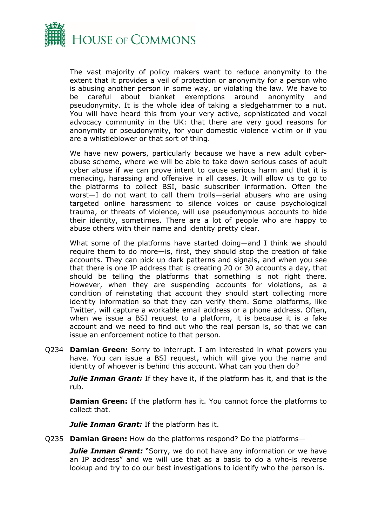

The vast majority of policy makers want to reduce anonymity to the extent that it provides a veil of protection or anonymity for a person who is abusing another person in some way, or violating the law. We have to be careful about blanket exemptions around anonymity and pseudonymity. It is the whole idea of taking a sledgehammer to a nut. You will have heard this from your very active, sophisticated and vocal advocacy community in the UK: that there are very good reasons for anonymity or pseudonymity, for your domestic violence victim or if you are a whistleblower or that sort of thing.

We have new powers, particularly because we have a new adult cyberabuse scheme, where we will be able to take down serious cases of adult cyber abuse if we can prove intent to cause serious harm and that it is menacing, harassing and offensive in all cases. It will allow us to go to the platforms to collect BSI, basic subscriber information. Often the worst—I do not want to call them trolls—serial abusers who are using targeted online harassment to silence voices or cause psychological trauma, or threats of violence, will use pseudonymous accounts to hide their identity, sometimes. There are a lot of people who are happy to abuse others with their name and identity pretty clear.

What some of the platforms have started doing—and I think we should require them to do more—is, first, they should stop the creation of fake accounts. They can pick up dark patterns and signals, and when you see that there is one IP address that is creating 20 or 30 accounts a day, that should be telling the platforms that something is not right there. However, when they are suspending accounts for violations, as a condition of reinstating that account they should start collecting more identity information so that they can verify them. Some platforms, like Twitter, will capture a workable email address or a phone address. Often, when we issue a BSI request to a platform, it is because it is a fake account and we need to find out who the real person is, so that we can issue an enforcement notice to that person.

Q234 **Damian Green:** Sorry to interrupt. I am interested in what powers you have. You can issue a BSI request, which will give you the name and identity of whoever is behind this account. What can you then do?

*Julie Inman Grant:* If they have it, if the platform has it, and that is the rub.

**Damian Green:** If the platform has it. You cannot force the platforms to collect that.

*Julie Inman Grant:* If the platform has it.

Q235 **Damian Green:** How do the platforms respond? Do the platforms—

**Julie Inman Grant:** "Sorry, we do not have any information or we have an IP address" and we will use that as a basis to do a who-is reverse lookup and try to do our best investigations to identify who the person is.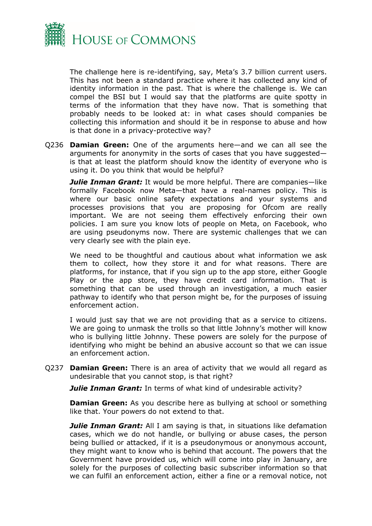

The challenge here is re-identifying, say, Meta's 3.7 billion current users. This has not been a standard practice where it has collected any kind of identity information in the past. That is where the challenge is. We can compel the BSI but I would say that the platforms are quite spotty in terms of the information that they have now. That is something that probably needs to be looked at: in what cases should companies be collecting this information and should it be in response to abuse and how is that done in a privacy-protective way?

Q236 **Damian Green:** One of the arguments here—and we can all see the arguments for anonymity in the sorts of cases that you have suggested is that at least the platform should know the identity of everyone who is using it. Do you think that would be helpful?

*Julie Inman Grant:* It would be more helpful. There are companies—like formally Facebook now Meta—that have a real-names policy. This is where our basic online safety expectations and your systems and processes provisions that you are proposing for Ofcom are really important. We are not seeing them effectively enforcing their own policies. I am sure you know lots of people on Meta, on Facebook, who are using pseudonyms now. There are systemic challenges that we can very clearly see with the plain eye.

We need to be thoughtful and cautious about what information we ask them to collect, how they store it and for what reasons. There are platforms, for instance, that if you sign up to the app store, either Google Play or the app store, they have credit card information. That is something that can be used through an investigation, a much easier pathway to identify who that person might be, for the purposes of issuing enforcement action.

I would just say that we are not providing that as a service to citizens. We are going to unmask the trolls so that little Johnny's mother will know who is bullying little Johnny. These powers are solely for the purpose of identifying who might be behind an abusive account so that we can issue an enforcement action.

Q237 **Damian Green:** There is an area of activity that we would all regard as undesirable that you cannot stop, is that right?

*Julie Inman Grant:* In terms of what kind of undesirable activity?

**Damian Green:** As you describe here as bullying at school or something like that. Your powers do not extend to that.

*Julie Inman Grant:* All I am saying is that, in situations like defamation cases, which we do not handle, or bullying or abuse cases, the person being bullied or attacked, if it is a pseudonymous or anonymous account, they might want to know who is behind that account. The powers that the Government have provided us, which will come into play in January, are solely for the purposes of collecting basic subscriber information so that we can fulfil an enforcement action, either a fine or a removal notice, not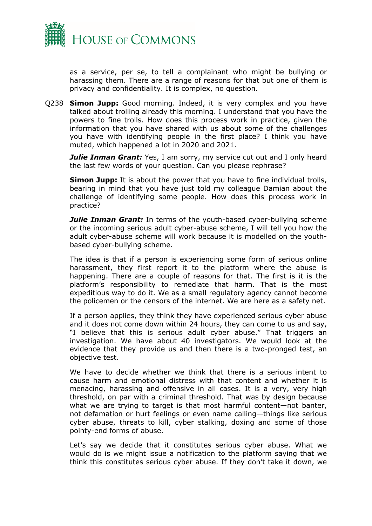

as a service, per se, to tell a complainant who might be bullying or harassing them. There are a range of reasons for that but one of them is privacy and confidentiality. It is complex, no question.

Q238 **Simon Jupp:** Good morning. Indeed, it is very complex and you have talked about trolling already this morning. I understand that you have the powers to fine trolls. How does this process work in practice, given the information that you have shared with us about some of the challenges you have with identifying people in the first place? I think you have muted, which happened a lot in 2020 and 2021.

**Julie Inman Grant:** Yes, I am sorry, my service cut out and I only heard the last few words of your question. Can you please rephrase?

**Simon Jupp:** It is about the power that you have to fine individual trolls, bearing in mind that you have just told my colleague Damian about the challenge of identifying some people. How does this process work in practice?

*Julie Inman Grant:* In terms of the youth-based cyber-bullying scheme or the incoming serious adult cyber-abuse scheme, I will tell you how the adult cyber-abuse scheme will work because it is modelled on the youthbased cyber-bullying scheme.

The idea is that if a person is experiencing some form of serious online harassment, they first report it to the platform where the abuse is happening. There are a couple of reasons for that. The first is it is the platform's responsibility to remediate that harm. That is the most expeditious way to do it. We as a small regulatory agency cannot become the policemen or the censors of the internet. We are here as a safety net.

If a person applies, they think they have experienced serious cyber abuse and it does not come down within 24 hours, they can come to us and say, "I believe that this is serious adult cyber abuse." That triggers an investigation. We have about 40 investigators. We would look at the evidence that they provide us and then there is a two-pronged test, an objective test.

We have to decide whether we think that there is a serious intent to cause harm and emotional distress with that content and whether it is menacing, harassing and offensive in all cases. It is a very, very high threshold, on par with a criminal threshold. That was by design because what we are trying to target is that most harmful content—not banter, not defamation or hurt feelings or even name calling—things like serious cyber abuse, threats to kill, cyber stalking, doxing and some of those pointy-end forms of abuse.

Let's say we decide that it constitutes serious cyber abuse. What we would do is we might issue a notification to the platform saying that we think this constitutes serious cyber abuse. If they don't take it down, we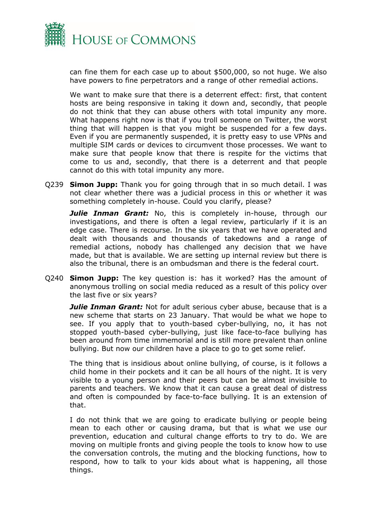

can fine them for each case up to about \$500,000, so not huge. We also have powers to fine perpetrators and a range of other remedial actions.

We want to make sure that there is a deterrent effect: first, that content hosts are being responsive in taking it down and, secondly, that people do not think that they can abuse others with total impunity any more. What happens right now is that if you troll someone on Twitter, the worst thing that will happen is that you might be suspended for a few days. Even if you are permanently suspended, it is pretty easy to use VPNs and multiple SIM cards or devices to circumvent those processes. We want to make sure that people know that there is respite for the victims that come to us and, secondly, that there is a deterrent and that people cannot do this with total impunity any more.

Q239 **Simon Jupp:** Thank you for going through that in so much detail. I was not clear whether there was a judicial process in this or whether it was something completely in-house. Could you clarify, please?

**Julie Inman Grant:** No, this is completely in-house, through our investigations, and there is often a legal review, particularly if it is an edge case. There is recourse. In the six years that we have operated and dealt with thousands and thousands of takedowns and a range of remedial actions, nobody has challenged any decision that we have made, but that is available. We are setting up internal review but there is also the tribunal, there is an ombudsman and there is the federal court.

Q240 **Simon Jupp:** The key question is: has it worked? Has the amount of anonymous trolling on social media reduced as a result of this policy over the last five or six years?

*Julie Inman Grant:* Not for adult serious cyber abuse, because that is a new scheme that starts on 23 January. That would be what we hope to see. If you apply that to youth-based cyber-bullying, no, it has not stopped youth-based cyber-bullying, just like face-to-face bullying has been around from time immemorial and is still more prevalent than online bullying. But now our children have a place to go to get some relief.

The thing that is insidious about online bullying, of course, is it follows a child home in their pockets and it can be all hours of the night. It is very visible to a young person and their peers but can be almost invisible to parents and teachers. We know that it can cause a great deal of distress and often is compounded by face-to-face bullying. It is an extension of that.

I do not think that we are going to eradicate bullying or people being mean to each other or causing drama, but that is what we use our prevention, education and cultural change efforts to try to do. We are moving on multiple fronts and giving people the tools to know how to use the conversation controls, the muting and the blocking functions, how to respond, how to talk to your kids about what is happening, all those things.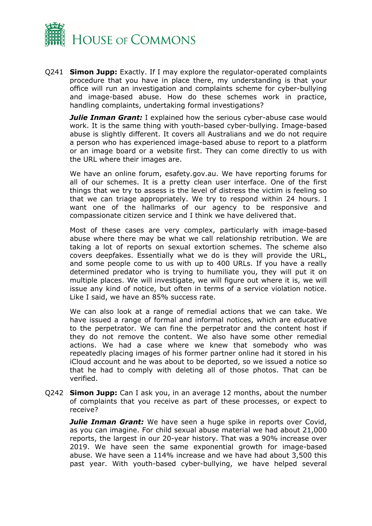

Q241 **Simon Jupp:** Exactly. If I may explore the regulator-operated complaints procedure that you have in place there, my understanding is that your office will run an investigation and complaints scheme for cyber-bullying and image-based abuse. How do these schemes work in practice, handling complaints, undertaking formal investigations?

**Julie Inman Grant:** I explained how the serious cyber-abuse case would work. It is the same thing with youth-based cyber-bullying. Image-based abuse is slightly different. It covers all Australians and we do not require a person who has experienced image-based abuse to report to a platform or an image board or a website first. They can come directly to us with the URL where their images are.

We have an online forum, esafety.gov.au. We have reporting forums for all of our schemes. It is a pretty clean user interface. One of the first things that we try to assess is the level of distress the victim is feeling so that we can triage appropriately. We try to respond within 24 hours. I want one of the hallmarks of our agency to be responsive and compassionate citizen service and I think we have delivered that.

Most of these cases are very complex, particularly with image-based abuse where there may be what we call relationship retribution. We are taking a lot of reports on sexual extortion schemes. The scheme also covers deepfakes. Essentially what we do is they will provide the URL, and some people come to us with up to 400 URLs. If you have a really determined predator who is trying to humiliate you, they will put it on multiple places. We will investigate, we will figure out where it is, we will issue any kind of notice, but often in terms of a service violation notice. Like I said, we have an 85% success rate.

We can also look at a range of remedial actions that we can take. We have issued a range of formal and informal notices, which are educative to the perpetrator. We can fine the perpetrator and the content host if they do not remove the content. We also have some other remedial actions. We had a case where we knew that somebody who was repeatedly placing images of his former partner online had it stored in his iCloud account and he was about to be deported, so we issued a notice so that he had to comply with deleting all of those photos. That can be verified.

Q242 **Simon Jupp:** Can I ask you, in an average 12 months, about the number of complaints that you receive as part of these processes, or expect to receive?

*Julie Inman Grant:* We have seen a huge spike in reports over Covid, as you can imagine. For child sexual abuse material we had about 21,000 reports, the largest in our 20-year history. That was a 90% increase over 2019. We have seen the same exponential growth for image-based abuse. We have seen a 114% increase and we have had about 3,500 this past year. With youth-based cyber-bullying, we have helped several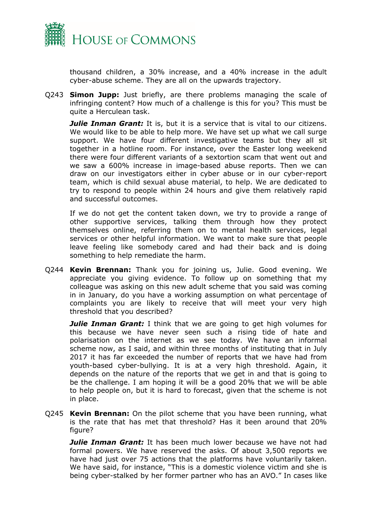

thousand children, a 30% increase, and a 40% increase in the adult cyber-abuse scheme. They are all on the upwards trajectory.

Q243 **Simon Jupp:** Just briefly, are there problems managing the scale of infringing content? How much of a challenge is this for you? This must be quite a Herculean task.

*Julie Inman Grant:* It is, but it is a service that is vital to our citizens. We would like to be able to help more. We have set up what we call surge support. We have four different investigative teams but they all sit together in a hotline room. For instance, over the Easter long weekend there were four different variants of a sextortion scam that went out and we saw a 600% increase in image-based abuse reports. Then we can draw on our investigators either in cyber abuse or in our cyber-report team, which is child sexual abuse material, to help. We are dedicated to try to respond to people within 24 hours and give them relatively rapid and successful outcomes.

If we do not get the content taken down, we try to provide a range of other supportive services, talking them through how they protect themselves online, referring them on to mental health services, legal services or other helpful information. We want to make sure that people leave feeling like somebody cared and had their back and is doing something to help remediate the harm.

Q244 **Kevin Brennan:** Thank you for joining us, Julie. Good evening. We appreciate you giving evidence. To follow up on something that my colleague was asking on this new adult scheme that you said was coming in in January, do you have a working assumption on what percentage of complaints you are likely to receive that will meet your very high threshold that you described?

*Julie Inman Grant:* I think that we are going to get high volumes for this because we have never seen such a rising tide of hate and polarisation on the internet as we see today. We have an informal scheme now, as I said, and within three months of instituting that in July 2017 it has far exceeded the number of reports that we have had from youth-based cyber-bullying. It is at a very high threshold. Again, it depends on the nature of the reports that we get in and that is going to be the challenge. I am hoping it will be a good 20% that we will be able to help people on, but it is hard to forecast, given that the scheme is not in place.

Q245 **Kevin Brennan:** On the pilot scheme that you have been running, what is the rate that has met that threshold? Has it been around that 20% figure?

*Julie Inman Grant:* It has been much lower because we have not had formal powers. We have reserved the asks. Of about 3,500 reports we have had just over 75 actions that the platforms have voluntarily taken. We have said, for instance, "This is a domestic violence victim and she is being cyber-stalked by her former partner who has an AVO." In cases like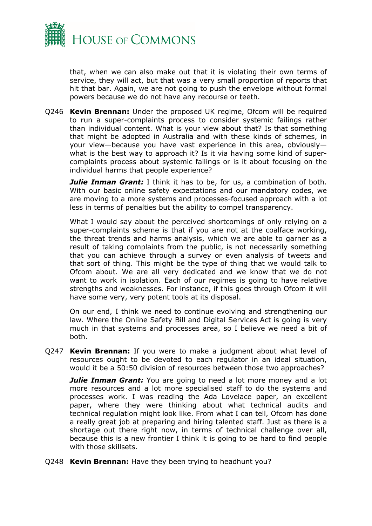

that, when we can also make out that it is violating their own terms of service, they will act, but that was a very small proportion of reports that hit that bar. Again, we are not going to push the envelope without formal powers because we do not have any recourse or teeth.

Q246 **Kevin Brennan:** Under the proposed UK regime, Ofcom will be required to run a super-complaints process to consider systemic failings rather than individual content. What is your view about that? Is that something that might be adopted in Australia and with these kinds of schemes, in your view—because you have vast experience in this area, obviously what is the best way to approach it? Is it via having some kind of supercomplaints process about systemic failings or is it about focusing on the individual harms that people experience?

*Julie Inman Grant:* I think it has to be, for us, a combination of both. With our basic online safety expectations and our mandatory codes, we are moving to a more systems and processes-focused approach with a lot less in terms of penalties but the ability to compel transparency.

What I would say about the perceived shortcomings of only relying on a super-complaints scheme is that if you are not at the coalface working, the threat trends and harms analysis, which we are able to garner as a result of taking complaints from the public, is not necessarily something that you can achieve through a survey or even analysis of tweets and that sort of thing. This might be the type of thing that we would talk to Ofcom about. We are all very dedicated and we know that we do not want to work in isolation. Each of our regimes is going to have relative strengths and weaknesses. For instance, if this goes through Ofcom it will have some very, very potent tools at its disposal.

On our end, I think we need to continue evolving and strengthening our law. Where the Online Safety Bill and Digital Services Act is going is very much in that systems and processes area, so I believe we need a bit of both.

Q247 **Kevin Brennan:** If you were to make a judgment about what level of resources ought to be devoted to each regulator in an ideal situation, would it be a 50:50 division of resources between those two approaches?

*Julie Inman Grant:* You are going to need a lot more money and a lot more resources and a lot more specialised staff to do the systems and processes work. I was reading the Ada Lovelace paper, an excellent paper, where they were thinking about what technical audits and technical regulation might look like. From what I can tell, Ofcom has done a really great job at preparing and hiring talented staff. Just as there is a shortage out there right now, in terms of technical challenge over all, because this is a new frontier I think it is going to be hard to find people with those skillsets.

Q248 **Kevin Brennan:** Have they been trying to headhunt you?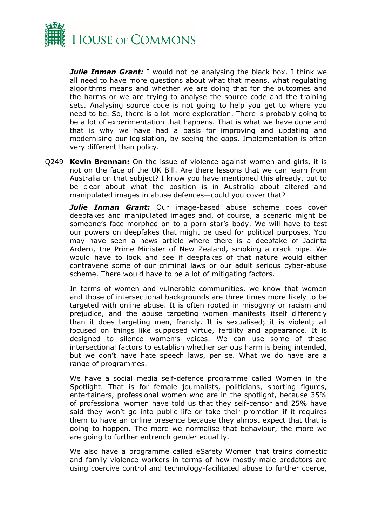

*Julie Inman Grant:* I would not be analysing the black box. I think we all need to have more questions about what that means, what regulating algorithms means and whether we are doing that for the outcomes and the harms or we are trying to analyse the source code and the training sets. Analysing source code is not going to help you get to where you need to be. So, there is a lot more exploration. There is probably going to be a lot of experimentation that happens. That is what we have done and that is why we have had a basis for improving and updating and modernising our legislation, by seeing the gaps. Implementation is often very different than policy.

Q249 **Kevin Brennan:** On the issue of violence against women and girls, it is not on the face of the UK Bill. Are there lessons that we can learn from Australia on that subject? I know you have mentioned this already, but to be clear about what the position is in Australia about altered and manipulated images in abuse defences—could you cover that?

*Julie Inman Grant:* Our image-based abuse scheme does cover deepfakes and manipulated images and, of course, a scenario might be someone's face morphed on to a porn star's body. We will have to test our powers on deepfakes that might be used for political purposes. You may have seen a news article where there is a deepfake of Jacinta Ardern, the Prime Minister of New Zealand, smoking a crack pipe. We would have to look and see if deepfakes of that nature would either contravene some of our criminal laws or our adult serious cyber-abuse scheme. There would have to be a lot of mitigating factors.

In terms of women and vulnerable communities, we know that women and those of intersectional backgrounds are three times more likely to be targeted with online abuse. It is often rooted in misogyny or racism and prejudice, and the abuse targeting women manifests itself differently than it does targeting men, frankly. It is sexualised; it is violent; all focused on things like supposed virtue, fertility and appearance. It is designed to silence women's voices. We can use some of these intersectional factors to establish whether serious harm is being intended, but we don't have hate speech laws, per se. What we do have are a range of programmes.

We have a social media self-defence programme called Women in the Spotlight. That is for female journalists, politicians, sporting figures, entertainers, professional women who are in the spotlight, because 35% of professional women have told us that they self-censor and 25% have said they won't go into public life or take their promotion if it requires them to have an online presence because they almost expect that that is going to happen. The more we normalise that behaviour, the more we are going to further entrench gender equality.

We also have a programme called eSafety Women that trains domestic and family violence workers in terms of how mostly male predators are using coercive control and technology-facilitated abuse to further coerce,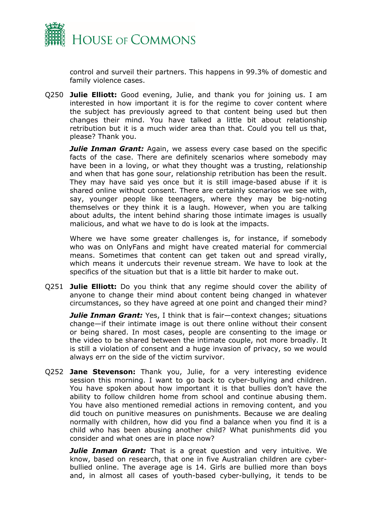

control and surveil their partners. This happens in 99.3% of domestic and family violence cases.

Q250 **Julie Elliott:** Good evening, Julie, and thank you for joining us. I am interested in how important it is for the regime to cover content where the subject has previously agreed to that content being used but then changes their mind. You have talked a little bit about relationship retribution but it is a much wider area than that. Could you tell us that, please? Thank you.

*Julie Inman Grant:* Again, we assess every case based on the specific facts of the case. There are definitely scenarios where somebody may have been in a loving, or what they thought was a trusting, relationship and when that has gone sour, relationship retribution has been the result. They may have said yes once but it is still image-based abuse if it is shared online without consent. There are certainly scenarios we see with, say, younger people like teenagers, where they may be big-noting themselves or they think it is a laugh. However, when you are talking about adults, the intent behind sharing those intimate images is usually malicious, and what we have to do is look at the impacts.

Where we have some greater challenges is, for instance, if somebody who was on OnlyFans and might have created material for commercial means. Sometimes that content can get taken out and spread virally, which means it undercuts their revenue stream. We have to look at the specifics of the situation but that is a little bit harder to make out.

Q251 **Julie Elliott:** Do you think that any regime should cover the ability of anyone to change their mind about content being changed in whatever circumstances, so they have agreed at one point and changed their mind?

*Julie Inman Grant:* Yes, I think that is fair—context changes; situations change—if their intimate image is out there online without their consent or being shared. In most cases, people are consenting to the image or the video to be shared between the intimate couple, not more broadly. It is still a violation of consent and a huge invasion of privacy, so we would always err on the side of the victim survivor.

Q252 **Jane Stevenson:** Thank you, Julie, for a very interesting evidence session this morning. I want to go back to cyber-bullying and children. You have spoken about how important it is that bullies don't have the ability to follow children home from school and continue abusing them. You have also mentioned remedial actions in removing content, and you did touch on punitive measures on punishments. Because we are dealing normally with children, how did you find a balance when you find it is a child who has been abusing another child? What punishments did you consider and what ones are in place now?

*Julie Inman Grant:* That is a great question and very intuitive. We know, based on research, that one in five Australian children are cyberbullied online. The average age is 14. Girls are bullied more than boys and, in almost all cases of youth-based cyber-bullying, it tends to be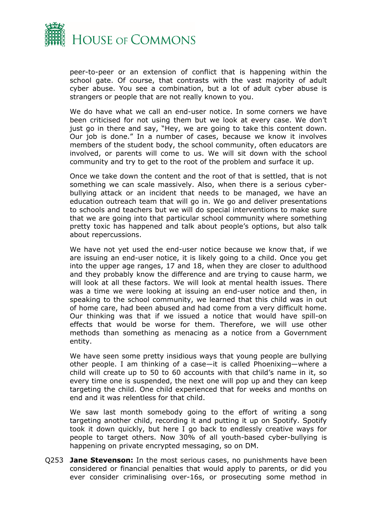

peer-to-peer or an extension of conflict that is happening within the school gate. Of course, that contrasts with the vast majority of adult cyber abuse. You see a combination, but a lot of adult cyber abuse is strangers or people that are not really known to you.

We do have what we call an end-user notice. In some corners we have been criticised for not using them but we look at every case. We don't just go in there and say, "Hey, we are going to take this content down. Our job is done." In a number of cases, because we know it involves members of the student body, the school community, often educators are involved, or parents will come to us. We will sit down with the school community and try to get to the root of the problem and surface it up.

Once we take down the content and the root of that is settled, that is not something we can scale massively. Also, when there is a serious cyberbullying attack or an incident that needs to be managed, we have an education outreach team that will go in. We go and deliver presentations to schools and teachers but we will do special interventions to make sure that we are going into that particular school community where something pretty toxic has happened and talk about people's options, but also talk about repercussions.

We have not yet used the end-user notice because we know that, if we are issuing an end-user notice, it is likely going to a child. Once you get into the upper age ranges, 17 and 18, when they are closer to adulthood and they probably know the difference and are trying to cause harm, we will look at all these factors. We will look at mental health issues. There was a time we were looking at issuing an end-user notice and then, in speaking to the school community, we learned that this child was in out of home care, had been abused and had come from a very difficult home. Our thinking was that if we issued a notice that would have spill-on effects that would be worse for them. Therefore, we will use other methods than something as menacing as a notice from a Government entity.

We have seen some pretty insidious ways that young people are bullying other people. I am thinking of a case—it is called Phoenixing—where a child will create up to 50 to 60 accounts with that child's name in it, so every time one is suspended, the next one will pop up and they can keep targeting the child. One child experienced that for weeks and months on end and it was relentless for that child.

We saw last month somebody going to the effort of writing a song targeting another child, recording it and putting it up on Spotify. Spotify took it down quickly, but here I go back to endlessly creative ways for people to target others. Now 30% of all youth-based cyber-bullying is happening on private encrypted messaging, so on DM.

Q253 **Jane Stevenson:** In the most serious cases, no punishments have been considered or financial penalties that would apply to parents, or did you ever consider criminalising over-16s, or prosecuting some method in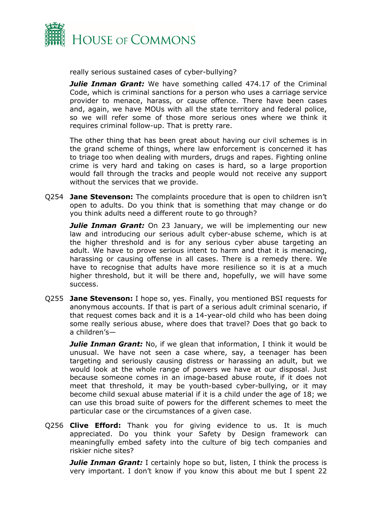

really serious sustained cases of cyber-bullying?

**Julie Inman Grant:** We have something called 474.17 of the Criminal Code, which is criminal sanctions for a person who uses a carriage service provider to menace, harass, or cause offence. There have been cases and, again, we have MOUs with all the state territory and federal police, so we will refer some of those more serious ones where we think it requires criminal follow-up. That is pretty rare.

The other thing that has been great about having our civil schemes is in the grand scheme of things, where law enforcement is concerned it has to triage too when dealing with murders, drugs and rapes. Fighting online crime is very hard and taking on cases is hard, so a large proportion would fall through the tracks and people would not receive any support without the services that we provide.

Q254 **Jane Stevenson:** The complaints procedure that is open to children isn't open to adults. Do you think that is something that may change or do you think adults need a different route to go through?

**Julie Inman Grant:** On 23 January, we will be implementing our new law and introducing our serious adult cyber-abuse scheme, which is at the higher threshold and is for any serious cyber abuse targeting an adult. We have to prove serious intent to harm and that it is menacing, harassing or causing offense in all cases. There is a remedy there. We have to recognise that adults have more resilience so it is at a much higher threshold, but it will be there and, hopefully, we will have some success.

Q255 **Jane Stevenson:** I hope so, yes. Finally, you mentioned BSI requests for anonymous accounts. If that is part of a serious adult criminal scenario, if that request comes back and it is a 14-year-old child who has been doing some really serious abuse, where does that travel? Does that go back to a children's—

*Julie Inman Grant:* No, if we glean that information, I think it would be unusual. We have not seen a case where, say, a teenager has been targeting and seriously causing distress or harassing an adult, but we would look at the whole range of powers we have at our disposal. Just because someone comes in an image-based abuse route, if it does not meet that threshold, it may be youth-based cyber-bullying, or it may become child sexual abuse material if it is a child under the age of 18; we can use this broad suite of powers for the different schemes to meet the particular case or the circumstances of a given case.

Q256 **Clive Efford:** Thank you for giving evidence to us. It is much appreciated. Do you think your Safety by Design framework can meaningfully embed safety into the culture of big tech companies and riskier niche sites?

*Julie Inman Grant:* I certainly hope so but, listen, I think the process is very important. I don't know if you know this about me but I spent 22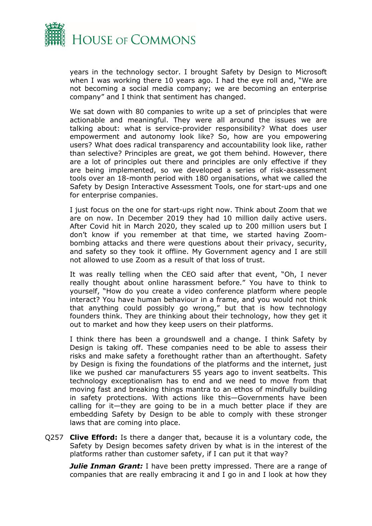

years in the technology sector. I brought Safety by Design to Microsoft when I was working there 10 years ago. I had the eye roll and, "We are not becoming a social media company; we are becoming an enterprise company" and I think that sentiment has changed.

We sat down with 80 companies to write up a set of principles that were actionable and meaningful. They were all around the issues we are talking about: what is service-provider responsibility? What does user empowerment and autonomy look like? So, how are you empowering users? What does radical transparency and accountability look like, rather than selective? Principles are great, we got them behind. However, there are a lot of principles out there and principles are only effective if they are being implemented, so we developed a series of risk-assessment tools over an 18-month period with 180 organisations, what we called the Safety by Design Interactive Assessment Tools, one for start-ups and one for enterprise companies.

I just focus on the one for start-ups right now. Think about Zoom that we are on now. In December 2019 they had 10 million daily active users. After Covid hit in March 2020, they scaled up to 200 million users but I don't know if you remember at that time, we started having Zoombombing attacks and there were questions about their privacy, security, and safety so they took it offline. My Government agency and I are still not allowed to use Zoom as a result of that loss of trust.

It was really telling when the CEO said after that event, "Oh, I never really thought about online harassment before." You have to think to yourself, "How do you create a video conference platform where people interact? You have human behaviour in a frame, and you would not think that anything could possibly go wrong," but that is how technology founders think. They are thinking about their technology, how they get it out to market and how they keep users on their platforms.

I think there has been a groundswell and a change. I think Safety by Design is taking off. These companies need to be able to assess their risks and make safety a forethought rather than an afterthought. Safety by Design is fixing the foundations of the platforms and the internet, just like we pushed car manufacturers 55 years ago to invent seatbelts. This technology exceptionalism has to end and we need to move from that moving fast and breaking things mantra to an ethos of mindfully building in safety protections. With actions like this—Governments have been calling for it—they are going to be in a much better place if they are embedding Safety by Design to be able to comply with these stronger laws that are coming into place.

Q257 **Clive Efford:** Is there a danger that, because it is a voluntary code, the Safety by Design becomes safety driven by what is in the interest of the platforms rather than customer safety, if I can put it that way?

*Julie Inman Grant:* I have been pretty impressed. There are a range of companies that are really embracing it and I go in and I look at how they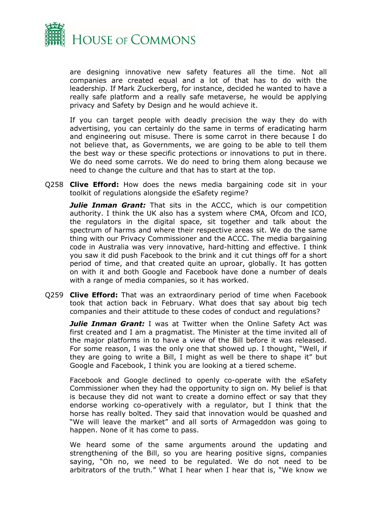

are designing innovative new safety features all the time. Not all companies are created equal and a lot of that has to do with the leadership. If Mark Zuckerberg, for instance, decided he wanted to have a really safe platform and a really safe metaverse, he would be applying privacy and Safety by Design and he would achieve it.

If you can target people with deadly precision the way they do with advertising, you can certainly do the same in terms of eradicating harm and engineering out misuse. There is some carrot in there because I do not believe that, as Governments, we are going to be able to tell them the best way or these specific protections or innovations to put in there. We do need some carrots. We do need to bring them along because we need to change the culture and that has to start at the top.

Q258 **Clive Efford:** How does the news media bargaining code sit in your toolkit of regulations alongside the eSafety regime?

*Julie Inman Grant:* That sits in the ACCC, which is our competition authority. I think the UK also has a system where CMA, Ofcom and ICO, the regulators in the digital space, sit together and talk about the spectrum of harms and where their respective areas sit. We do the same thing with our Privacy Commissioner and the ACCC. The media bargaining code in Australia was very innovative, hard-hitting and effective. I think you saw it did push Facebook to the brink and it cut things off for a short period of time, and that created quite an uproar, globally. It has gotten on with it and both Google and Facebook have done a number of deals with a range of media companies, so it has worked.

Q259 **Clive Efford:** That was an extraordinary period of time when Facebook took that action back in February. What does that say about big tech companies and their attitude to these codes of conduct and regulations?

**Julie Inman Grant:** I was at Twitter when the Online Safety Act was first created and I am a pragmatist. The Minister at the time invited all of the major platforms in to have a view of the Bill before it was released. For some reason, I was the only one that showed up. I thought, "Well, if they are going to write a Bill, I might as well be there to shape it" but Google and Facebook, I think you are looking at a tiered scheme.

Facebook and Google declined to openly co-operate with the eSafety Commissioner when they had the opportunity to sign on. My belief is that is because they did not want to create a domino effect or say that they endorse working co-operatively with a regulator, but I think that the horse has really bolted. They said that innovation would be quashed and "We will leave the market" and all sorts of Armageddon was going to happen. None of it has come to pass.

We heard some of the same arguments around the updating and strengthening of the Bill, so you are hearing positive signs, companies saying, "Oh no, we need to be regulated. We do not need to be arbitrators of the truth." What I hear when I hear that is, "We know we